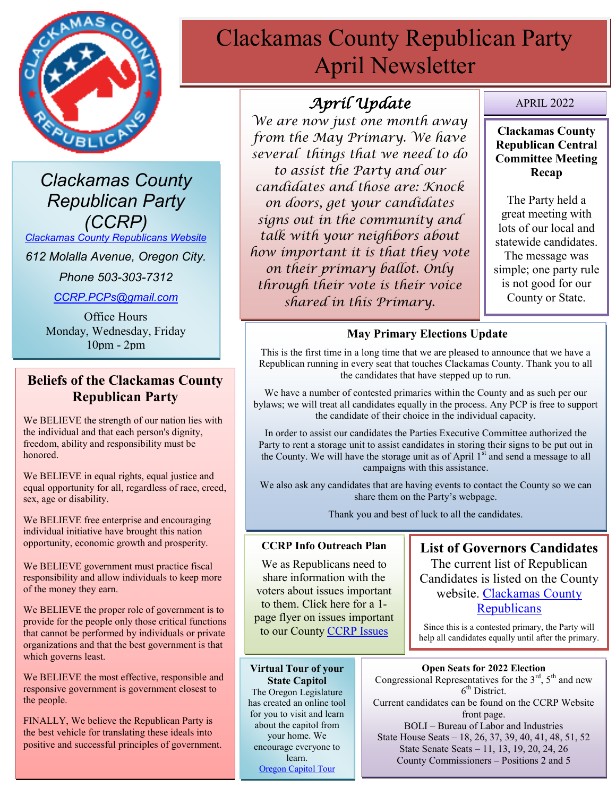

*Clackamas County Republican Party (CCRP)*

*[Clackamas County Republicans Website](https://www.clackamascountyrepublicans.org/)*

*612 Molalla Avenue, Oregon City.* 

*Phone 503-303-7312*

*[CCRP.PCPs@gmail.com](mailto:CCRP.PCPs@gmail.com)*

Office Hours Monday, Wednesday, Friday 10pm - 2pm

# **Beliefs of the Clackamas County Republican Party**

We BELIEVE the strength of our nation lies with the individual and that each person's dignity, freedom, ability and responsibility must be honored.

We BELIEVE in equal rights, equal justice and equal opportunity for all, regardless of race, creed, sex, age or disability.

We BELIEVE free enterprise and encouraging individual initiative have brought this nation opportunity, economic growth and prosperity.

We BELIEVE government must practice fiscal responsibility and allow individuals to keep more of the money they earn.

We BELIEVE the proper role of government is to provide for the people only those critical functions that cannot be performed by individuals or private organizations and that the best government is that which governs least.

We BELIEVE the most effective, responsible and responsive government is government closest to the people.

FINALLY, We believe the Republican Party is the best vehicle for translating these ideals into positive and successful principles of government.

# Clackamas County Republican Party April Newsletter

# *April Update*

*We are now just one month away from the May Primary. We have several things that we need to do to assist the Party and our candidates and those are: Knock on doors, get your candidates signs out in the community and talk with your neighbors about how important it is that they vote on their primary ballot. Only through their vote is their voice shared in this Primary.*

### APRIL 2022

### **Clackamas County Republican Central Committee Meeting Recap**

The Party held a great meeting with lots of our local and statewide candidates. The message was simple; one party rule is not good for our County or State.

### **May Primary Elections Update**

This is the first time in a long time that we are pleased to announce that we have a Republican running in every seat that touches Clackamas County. Thank you to all the candidates that have stepped up to run.

We have a number of contested primaries within the County and as such per our bylaws; we will treat all candidates equally in the process. Any PCP is free to support the candidate of their choice in the individual capacity.

In order to assist our candidates the Parties Executive Committee authorized the Party to rent a storage unit to assist candidates in storing their signs to be put out in the County. We will have the storage unit as of April 1<sup>st</sup> and send a message to all campaigns with this assistance.

We also ask any candidates that are having events to contact the County so we can share them on the Party's webpage.

Thank you and best of luck to all the candidates.

### **CCRP Info Outreach Plan**

We as Republicans need to share information with the voters about issues important to them. Click here for a 1 page flyer on issues important to our County [CCRP Issues](https://www.clackamascountyrepublicans.org/wp-content/uploads/2021/09/CCRP-Outreach.pdf)

**Virtual Tour of your State Capitol** The Oregon Legislature has created an online tool for you to visit and learn about the capitol from your home. We encourage everyone to learn. [Oregon Capitol Tour](https://www.oregonlegislature.gov/capitolhistorygateway/Pages/default.aspx)

**List of Governors Candidates** The current list of Republican Candidates is listed on the County website. [Clackamas County](https://www.clackamascountyrepublicans.org/)  **[Republicans](https://www.clackamascountyrepublicans.org/)** 

Since this is a contested primary, the Party will help all candidates equally until after the primary.

### **Open Seats for 2022 Election**

Congressional Representatives for the  $3<sup>rd</sup>$ ,  $5<sup>th</sup>$  and new 6<sup>th</sup> District. Current candidates can be found on the CCRP Website

front page. BOLI – Bureau of Labor and Industries State House Seats – 18, 26, 37, 39, 40, 41, 48, 51, 52 State Senate Seats – 11, 13, 19, 20, 24, 26 County Commissioners – Positions 2 and 5